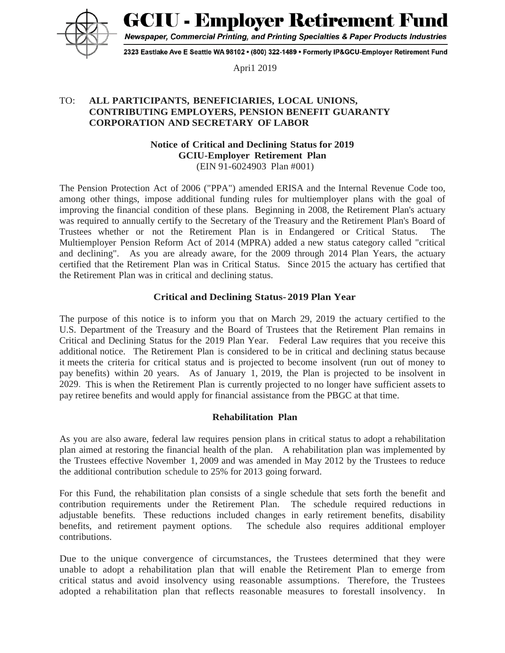**GCIU - Employer Retirement Fond** 



Newspaper, Commercial Printing, and Printing Specialties & Paper Products Industries

2323 Eastlake Ave E Seattle WA 98102 • (800) 322-1489 • Formerly IP&GCU-Employer Retirement Fund

Apri1 2019

## TO: **ALL PARTICIPANTS, BENEFICIARIES, LOCAL UNIONS, CONTRIBUTING EMPLOYERS, PENSION BENEFIT GUARANTY CORPORATION AND SECRETARY OF LABOR**

#### **Notice of Critical and Declining Status for 2019 GCIU-Employer Retirement Plan** (EIN 91-6024903 Plan #001)

The Pension Protection Act of 2006 ("PPA") amended ERISA and the Internal Revenue Code too, among other things, impose additional funding rules for multiemployer plans with the goal of improving the financial condition of these plans. Beginning in 2008, the Retirement Plan's actuary was required to annually certify to the Secretary of the Treasury and the Retirement Plan's Board of Trustees whether or not the Retirement Plan is in Endangered or Critical Status. The Multiemployer Pension Reform Act of 2014 (MPRA) added a new status category called "critical and declining". As you are already aware, for the 2009 through 2014 Plan Years, the actuary certified that the Retirement Plan was in Critical Status. Since 2015 the actuary has certified that the Retirement Plan was in critical and declining status.

### **Critical and Declining Status- 2019 Plan Year**

The purpose of this notice is to inform you that on March 29, 2019 the actuary certified to the U.S. Department of the Treasury and the Board of Trustees that the Retirement Plan remains in Critical and Declining Status for the 2019 Plan Year. Federal Law requires that you receive this additional notice. The Retirement Plan is considered to be in critical and declining status because it meets the criteria for critical status and is projected to become insolvent (run out of money to pay benefits) within 20 years. As of January 1, 2019, the Plan is projected to be insolvent in 2029. This is when the Retirement Plan is currently projected to no longer have sufficient assets to pay retiree benefits and would apply for financial assistance from the PBGC at that time.

# **Rehabilitation Plan**

As you are also aware, federal law requires pension plans in critical status to adopt a rehabilitation plan aimed at restoring the financial health of the plan. A rehabilitation plan was implemented by the Trustees effective November 1, 2009 and was amended in May 2012 by the Trustees to reduce the additional contribution schedule to 25% for 2013 going forward.

For this Fund, the rehabilitation plan consists of a single schedule that sets forth the benefit and contribution requirements under the Retirement Plan. The schedule required reductions in adjustable benefits. These reductions included changes in early retirement benefits, disability benefits, and retirement payment options. The schedule also requires additional employer contributions.

Due to the unique convergence of circumstances, the Trustees determined that they were unable to adopt a rehabilitation plan that will enable the Retirement Plan to emerge from critical status and avoid insolvency using reasonable assumptions. Therefore, the Trustees adopted a rehabilitation plan that reflects reasonable measures to forestall insolvency. In